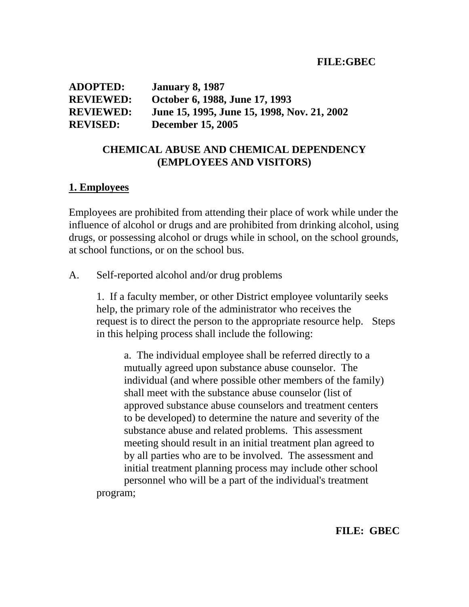| <b>ADOPTED:</b>  | <b>January 8, 1987</b>                      |
|------------------|---------------------------------------------|
| <b>REVIEWED:</b> | October 6, 1988, June 17, 1993              |
| <b>REVIEWED:</b> | June 15, 1995, June 15, 1998, Nov. 21, 2002 |
| <b>REVISED:</b>  | <b>December 15, 2005</b>                    |

# **CHEMICAL ABUSE AND CHEMICAL DEPENDENCY (EMPLOYEES AND VISITORS)**

#### **1. Employees**

Employees are prohibited from attending their place of work while under the influence of alcohol or drugs and are prohibited from drinking alcohol, using drugs, or possessing alcohol or drugs while in school, on the school grounds, at school functions, or on the school bus.

A. Self-reported alcohol and/or drug problems

 1. If a faculty member, or other District employee voluntarily seeks help, the primary role of the administrator who receives the request is to direct the person to the appropriate resource help. Steps in this helping process shall include the following:

 a. The individual employee shall be referred directly to a mutually agreed upon substance abuse counselor. The individual (and where possible other members of the family) shall meet with the substance abuse counselor (list of approved substance abuse counselors and treatment centers to be developed) to determine the nature and severity of the substance abuse and related problems. This assessment meeting should result in an initial treatment plan agreed to by all parties who are to be involved. The assessment and initial treatment planning process may include other school personnel who will be a part of the individual's treatment program;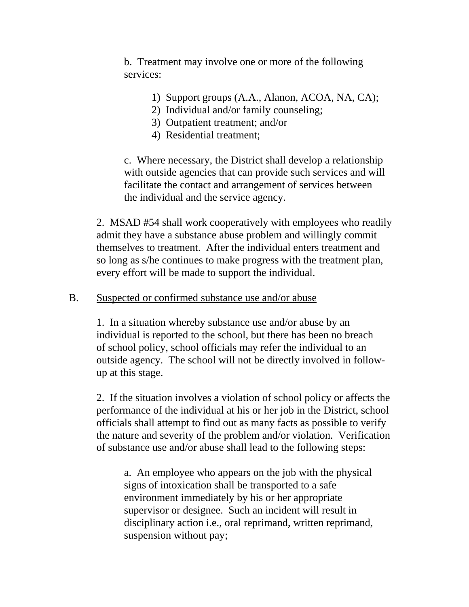b. Treatment may involve one or more of the following services:

- 1) Support groups (A.A., Alanon, ACOA, NA, CA);
- 2) Individual and/or family counseling;
- 3) Outpatient treatment; and/or
- 4) Residential treatment;

 c. Where necessary, the District shall develop a relationship with outside agencies that can provide such services and will facilitate the contact and arrangement of services between the individual and the service agency.

 2. MSAD #54 shall work cooperatively with employees who readily admit they have a substance abuse problem and willingly commit themselves to treatment. After the individual enters treatment and so long as s/he continues to make progress with the treatment plan, every effort will be made to support the individual.

## B. Suspected or confirmed substance use and/or abuse

 1. In a situation whereby substance use and/or abuse by an individual is reported to the school, but there has been no breach of school policy, school officials may refer the individual to an outside agency. The school will not be directly involved in follow up at this stage.

2. If the situation involves a violation of school policy or affects the performance of the individual at his or her job in the District, school officials shall attempt to find out as many facts as possible to verify the nature and severity of the problem and/or violation. Verification of substance use and/or abuse shall lead to the following steps:

 a. An employee who appears on the job with the physical signs of intoxication shall be transported to a safe environment immediately by his or her appropriate supervisor or designee. Such an incident will result in disciplinary action i.e., oral reprimand, written reprimand, suspension without pay;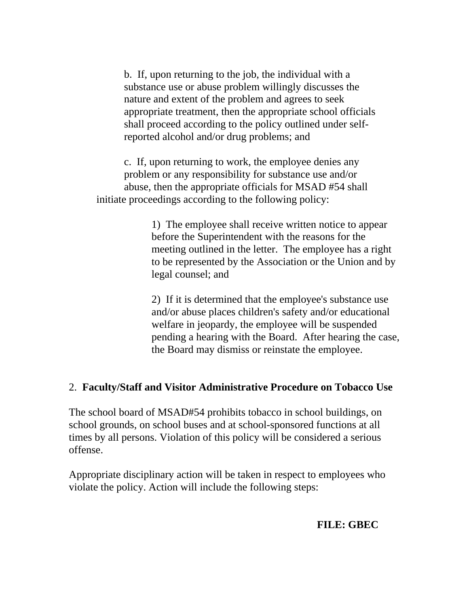b. If, upon returning to the job, the individual with a substance use or abuse problem willingly discusses the nature and extent of the problem and agrees to seek appropriate treatment, then the appropriate school officials shall proceed according to the policy outlined under self reported alcohol and/or drug problems; and

 c. If, upon returning to work, the employee denies any problem or any responsibility for substance use and/or abuse, then the appropriate officials for MSAD #54 shall initiate proceedings according to the following policy:

> 1) The employee shall receive written notice to appear before the Superintendent with the reasons for the meeting outlined in the letter. The employee has a right to be represented by the Association or the Union and by legal counsel; and

2) If it is determined that the employee's substance use and/or abuse places children's safety and/or educational welfare in jeopardy, the employee will be suspended pending a hearing with the Board. After hearing the case, the Board may dismiss or reinstate the employee.

# 2. **Faculty/Staff and Visitor Administrative Procedure on Tobacco Use**

The school board of MSAD#54 prohibits tobacco in school buildings, on school grounds, on school buses and at school-sponsored functions at all times by all persons. Violation of this policy will be considered a serious offense.

Appropriate disciplinary action will be taken in respect to employees who violate the policy. Action will include the following steps:

#### **FILE: GBEC**